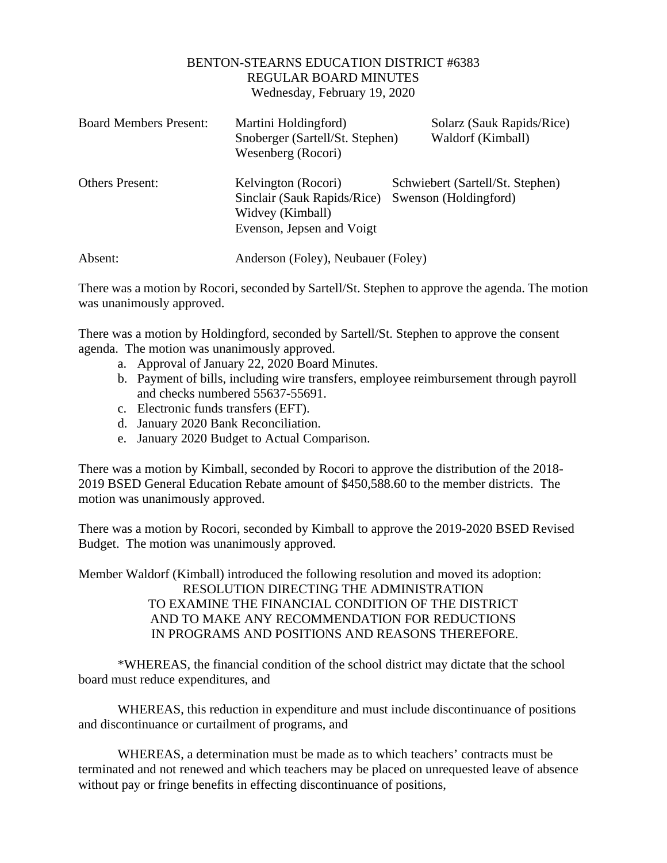## BENTON-STEARNS EDUCATION DISTRICT #6383 REGULAR BOARD MINUTES Wednesday, February 19, 2020

| <b>Board Members Present:</b> | Martini Holdingford)<br>Snoberger (Sartell/St. Stephen)<br>Wesenberg (Rocori)                       | Solarz (Sauk Rapids/Rice)<br>Waldorf (Kimball)            |
|-------------------------------|-----------------------------------------------------------------------------------------------------|-----------------------------------------------------------|
| <b>Others Present:</b>        | Kelvington (Rocori)<br>Sinclair (Sauk Rapids/Rice)<br>Widvey (Kimball)<br>Evenson, Jepsen and Voigt | Schwiebert (Sartell/St. Stephen)<br>Swenson (Holdingford) |
| Absent:                       | Anderson (Foley), Neubauer (Foley)                                                                  |                                                           |

There was a motion by Rocori, seconded by Sartell/St. Stephen to approve the agenda. The motion was unanimously approved.

There was a motion by Holdingford, seconded by Sartell/St. Stephen to approve the consent agenda. The motion was unanimously approved.

- a. Approval of January 22, 2020 Board Minutes.
- b. Payment of bills, including wire transfers, employee reimbursement through payroll and checks numbered 55637-55691.
- c. Electronic funds transfers (EFT).
- d. January 2020 Bank Reconciliation.
- e. January 2020 Budget to Actual Comparison.

There was a motion by Kimball, seconded by Rocori to approve the distribution of the 2018- 2019 BSED General Education Rebate amount of \$450,588.60 to the member districts. The motion was unanimously approved.

There was a motion by Rocori, seconded by Kimball to approve the 2019-2020 BSED Revised Budget. The motion was unanimously approved.

Member Waldorf (Kimball) introduced the following resolution and moved its adoption: RESOLUTION DIRECTING THE ADMINISTRATION TO EXAMINE THE FINANCIAL CONDITION OF THE DISTRICT AND TO MAKE ANY RECOMMENDATION FOR REDUCTIONS IN PROGRAMS AND POSITIONS AND REASONS THEREFORE.

\*WHEREAS, the financial condition of the school district may dictate that the school board must reduce expenditures, and

WHEREAS, this reduction in expenditure and must include discontinuance of positions and discontinuance or curtailment of programs, and

WHEREAS, a determination must be made as to which teachers' contracts must be terminated and not renewed and which teachers may be placed on unrequested leave of absence without pay or fringe benefits in effecting discontinuance of positions,